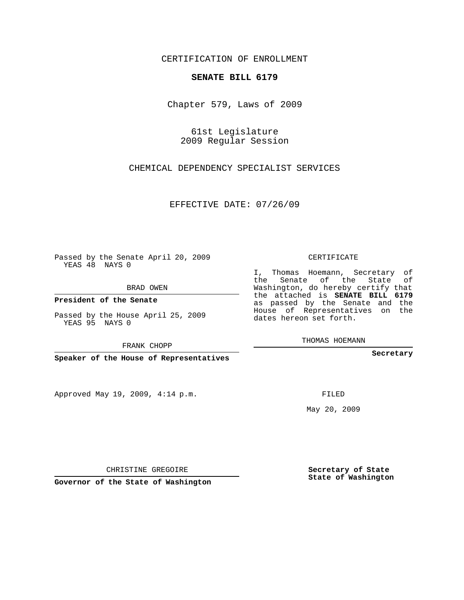## CERTIFICATION OF ENROLLMENT

## **SENATE BILL 6179**

Chapter 579, Laws of 2009

61st Legislature 2009 Regular Session

CHEMICAL DEPENDENCY SPECIALIST SERVICES

EFFECTIVE DATE: 07/26/09

Passed by the Senate April 20, 2009 YEAS 48 NAYS 0

BRAD OWEN

**President of the Senate**

Passed by the House April 25, 2009 YEAS 95 NAYS 0

**Speaker of the House of Representatives**

Approved May 19, 2009, 4:14 p.m.

CERTIFICATE

I, Thomas Hoemann, Secretary of the Senate of the State of Washington, do hereby certify that the attached is **SENATE BILL 6179** as passed by the Senate and the House of Representatives on the dates hereon set forth.

THOMAS HOEMANN

**Secretary**

May 20, 2009

**Secretary of State State of Washington**

CHRISTINE GREGOIRE

**Governor of the State of Washington**

## FRANK CHOPP

FILED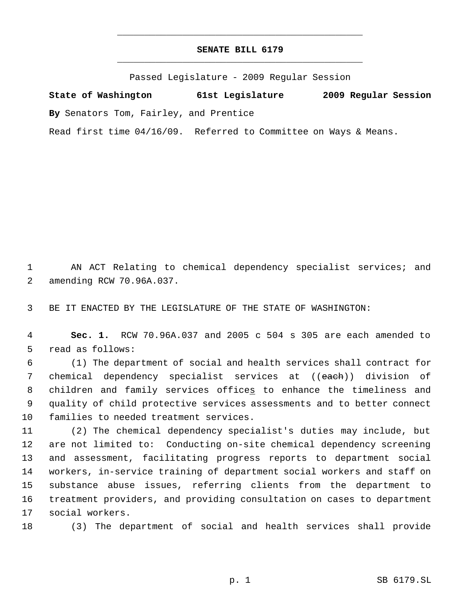## **SENATE BILL 6179** \_\_\_\_\_\_\_\_\_\_\_\_\_\_\_\_\_\_\_\_\_\_\_\_\_\_\_\_\_\_\_\_\_\_\_\_\_\_\_\_\_\_\_\_\_

\_\_\_\_\_\_\_\_\_\_\_\_\_\_\_\_\_\_\_\_\_\_\_\_\_\_\_\_\_\_\_\_\_\_\_\_\_\_\_\_\_\_\_\_\_

Passed Legislature - 2009 Regular Session

**State of Washington 61st Legislature 2009 Regular Session By** Senators Tom, Fairley, and Prentice

Read first time 04/16/09. Referred to Committee on Ways & Means.

 AN ACT Relating to chemical dependency specialist services; and amending RCW 70.96A.037.

BE IT ENACTED BY THE LEGISLATURE OF THE STATE OF WASHINGTON:

 **Sec. 1.** RCW 70.96A.037 and 2005 c 504 s 305 are each amended to read as follows:

 (1) The department of social and health services shall contract for 7 chemical dependency specialist services at ((each)) division of 8 children and family services offices to enhance the timeliness and quality of child protective services assessments and to better connect families to needed treatment services.

 (2) The chemical dependency specialist's duties may include, but are not limited to: Conducting on-site chemical dependency screening and assessment, facilitating progress reports to department social workers, in-service training of department social workers and staff on substance abuse issues, referring clients from the department to treatment providers, and providing consultation on cases to department social workers.

(3) The department of social and health services shall provide